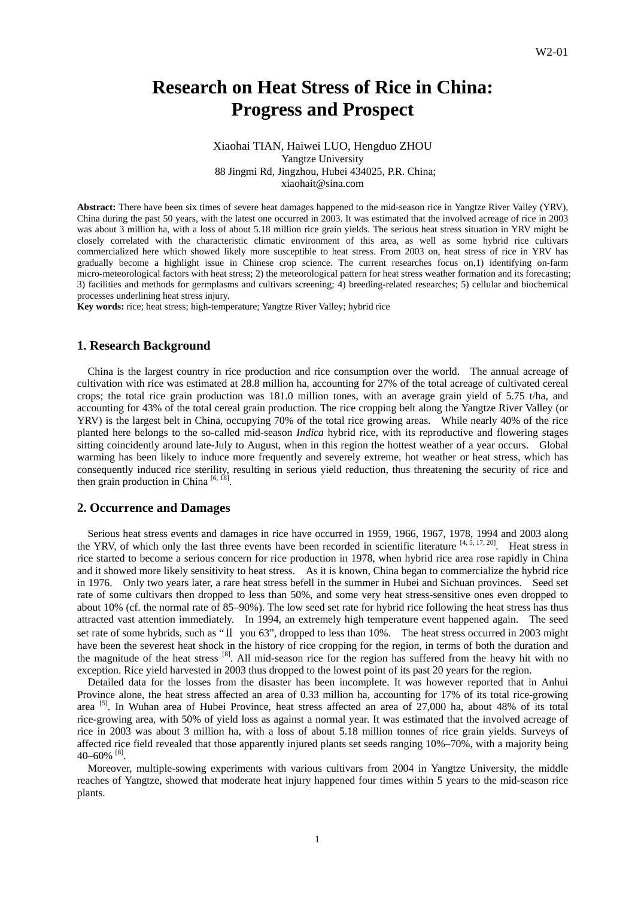# **Research on Heat Stress of Rice in China: Progress and Prospect**

# Xiaohai TIAN, Haiwei LUO, Hengduo ZHOU Yangtze University 88 Jingmi Rd, Jingzhou, Hubei 434025, P.R. China; xiaohait@sina.com

**Abstract:** There have been six times of severe heat damages happened to the mid-season rice in Yangtze River Valley (YRV), China during the past 50 years, with the latest one occurred in 2003. It was estimated that the involved acreage of rice in 2003 was about 3 million ha, with a loss of about 5.18 million rice grain yields. The serious heat stress situation in YRV might be closely correlated with the characteristic climatic environment of this area, as well as some hybrid rice cultivars commercialized here which showed likely more susceptible to heat stress. From 2003 on, heat stress of rice in YRV has gradually become a highlight issue in Chinese crop science. The current researches focus on,1) identifying on-farm micro-meteorological factors with heat stress; 2) the meteorological pattern for heat stress weather formation and its forecasting; 3) facilities and methods for germplasms and cultivars screening; 4) breeding-related researches; 5) cellular and biochemical processes underlining heat stress injury.

**Key words:** rice; heat stress; high-temperature; Yangtze River Valley; hybrid rice

# **1. Research Background**

China is the largest country in rice production and rice consumption over the world. The annual acreage of cultivation with rice was estimated at 28.8 million ha, accounting for 27% of the total acreage of cultivated cereal crops; the total rice grain production was 181.0 million tones, with an average grain yield of 5.75 t/ha, and accounting for 43% of the total cereal grain production. The rice cropping belt along the Yangtze River Valley (or YRV) is the largest belt in China, occupying 70% of the total rice growing areas. While nearly 40% of the rice planted here belongs to the so-called mid-season *Indica* hybrid rice, with its reproductive and flowering stages sitting coincidently around late-July to August, when in this region the hottest weather of a year occurs. Global warming has been likely to induce more frequently and severely extreme, hot weather or heat stress, which has consequently induced rice sterility, resulting in serious yield reduction, thus threatening the security of rice and then grain production in China  $[6, 18]$ .

# **2. Occurrence and Damages**

Serious heat stress events and damages in rice have occurred in 1959, 1966, 1967, 1978, 1994 and 2003 along the YRV, of which only the last three events have been recorded in scientific literature  $[4, 5, 17, 20]$ . Heat stress in rice started to become a serious concern for rice production in 1978, when hybrid rice area rose rapidly in China and it showed more likely sensitivity to heat stress. As it is known, China began to commercialize the hybrid rice in 1976. Only two years later, a rare heat stress befell in the summer in Hubei and Sichuan provinces. Seed set rate of some cultivars then dropped to less than 50%, and some very heat stress-sensitive ones even dropped to about 10% (cf. the normal rate of 85–90%). The low seed set rate for hybrid rice following the heat stress has thus attracted vast attention immediately. In 1994, an extremely high temperature event happened again. The seed set rate of some hybrids, such as "II you 63", dropped to less than 10%. The heat stress occurred in 2003 might have been the severest heat shock in the history of rice cropping for the region, in terms of both the duration and the magnitude of the heat stress <sup>[8]</sup>. All mid-season rice for the region has suffered from the heavy hit with no exception. Rice yield harvested in 2003 thus dropped to the lowest point of its past 20 years for the region.

Detailed data for the losses from the disaster has been incomplete. It was however reported that in Anhui Province alone, the heat stress affected an area of 0.33 million ha, accounting for 17% of its total rice-growing area [5]. In Wuhan area of Hubei Province, heat stress affected an area of 27,000 ha, about 48% of its total rice-growing area, with 50% of yield loss as against a normal year. It was estimated that the involved acreage of rice in 2003 was about 3 million ha, with a loss of about 5.18 million tonnes of rice grain yields. Surveys of affected rice field revealed that those apparently injured plants set seeds ranging 10%–70%, with a majority being  $40-60\%$ <sup>[8]</sup>.

Moreover, multiple-sowing experiments with various cultivars from 2004 in Yangtze University, the middle reaches of Yangtze, showed that moderate heat injury happened four times within 5 years to the mid-season rice plants.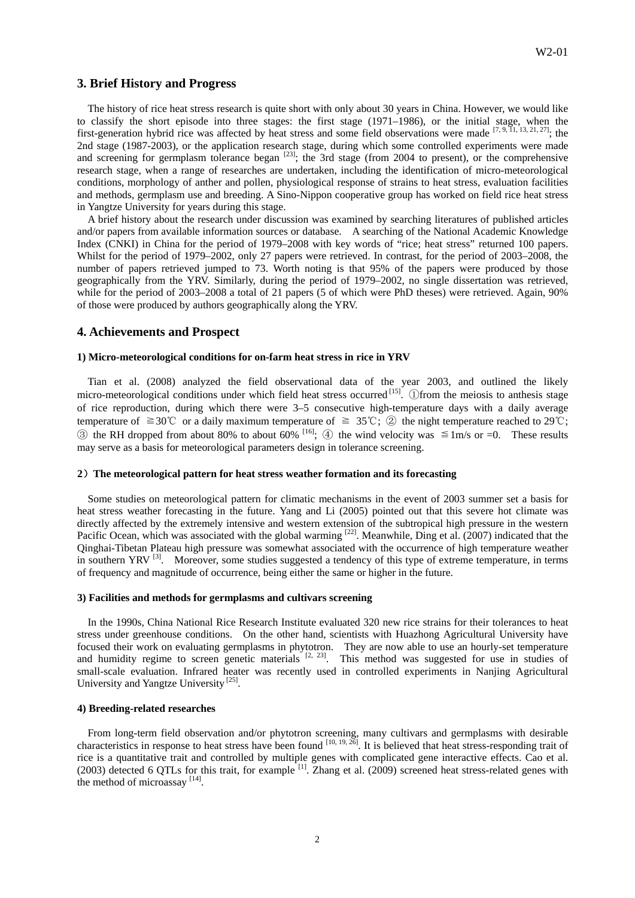# **3. Brief History and Progress**

The history of rice heat stress research is quite short with only about 30 years in China. However, we would like to classify the short episode into three stages: the first stage (1971–1986), or the initial stage, when the first-generation hybrid rice was affected by heat stress and some field observations were made  $[7, 9, 11, 13, 21, 27]$ ; the 2nd stage (1987-2003), or the application research stage, during which some controlled experiments were made and screening for germplasm tolerance began <sup>[23]</sup>; the 3rd stage (from 2004 to present), or the comprehensive research stage, when a range of researches are undertaken, including the identification of micro-meteorological conditions, morphology of anther and pollen, physiological response of strains to heat stress, evaluation facilities and methods, germplasm use and breeding. A Sino-Nippon cooperative group has worked on field rice heat stress in Yangtze University for years during this stage.

A brief history about the research under discussion was examined by searching literatures of published articles and/or papers from available information sources or database. A searching of the National Academic Knowledge Index (CNKI) in China for the period of 1979–2008 with key words of "rice; heat stress" returned 100 papers. Whilst for the period of 1979–2002, only 27 papers were retrieved. In contrast, for the period of 2003–2008, the number of papers retrieved jumped to 73. Worth noting is that 95% of the papers were produced by those geographically from the YRV. Similarly, during the period of 1979–2002, no single dissertation was retrieved, while for the period of 2003–2008 a total of 21 papers (5 of which were PhD theses) were retrieved. Again, 90% of those were produced by authors geographically along the YRV.

## **4. Achievements and Prospect**

#### **1) Micro-meteorological conditions for on-farm heat stress in rice in YRV**

Tian et al. (2008) analyzed the field observational data of the year 2003, and outlined the likely micro-meteorological conditions under which field heat stress occurred <sup>[15]</sup>. ①from the meiosis to anthesis stage of rice reproduction, during which there were 3–5 consecutive high-temperature days with a daily average temperature of  $\geq 30^{\circ}\text{C}$  or a daily maximum temperature of  $\geq 35^{\circ}\text{C}$ ; ② the night temperature reached to 29°C; ③ the RH dropped from about 80% to about 60% [16]; ④ the wind velocity was ≦1m/s or =0. These results may serve as a basis for meteorological parameters design in tolerance screening.

#### **2**)**The meteorological pattern for heat stress weather formation and its forecasting**

Some studies on meteorological pattern for climatic mechanisms in the event of 2003 summer set a basis for heat stress weather forecasting in the future. Yang and Li (2005) pointed out that this severe hot climate was directly affected by the extremely intensive and western extension of the subtropical high pressure in the western Pacific Ocean, which was associated with the global warming  $[22]$ . Meanwhile, Ding et al. (2007) indicated that the Qinghai-Tibetan Plateau high pressure was somewhat associated with the occurrence of high temperature weather in southern YRV<sup>[3]</sup>. Moreover, some studies suggested a tendency of this type of extreme temperature, in terms of frequency and magnitude of occurrence, being either the same or higher in the future.

#### **3) Facilities and methods for germplasms and cultivars screening**

In the 1990s, China National Rice Research Institute evaluated 320 new rice strains for their tolerances to heat stress under greenhouse conditions. On the other hand, scientists with Huazhong Agricultural University have focused their work on evaluating germplasms in phytotron. They are now able to use an hourly-set temperature and humidity regime to screen genetic materials  $[2, 23]$ . This method was suggested for use in studies of small-scale evaluation. Infrared heater was recently used in controlled experiments in Nanjing Agricultural University and Yangtze University<sup>[25]</sup>.

## **4) Breeding-related researches**

From long-term field observation and/or phytotron screening, many cultivars and germplasms with desirable characteristics in response to heat stress have been found [10, 19, 26]. It is believed that heat stress-responding trait of rice is a quantitative trait and controlled by multiple genes with complicated gene interactive effects. Cao et al. (2003) detected 6 QTLs for this trait, for example  $^{[1]}$ . Zhang et al. (2009) screened heat stress-related genes with the method of microassay  $[14]$ .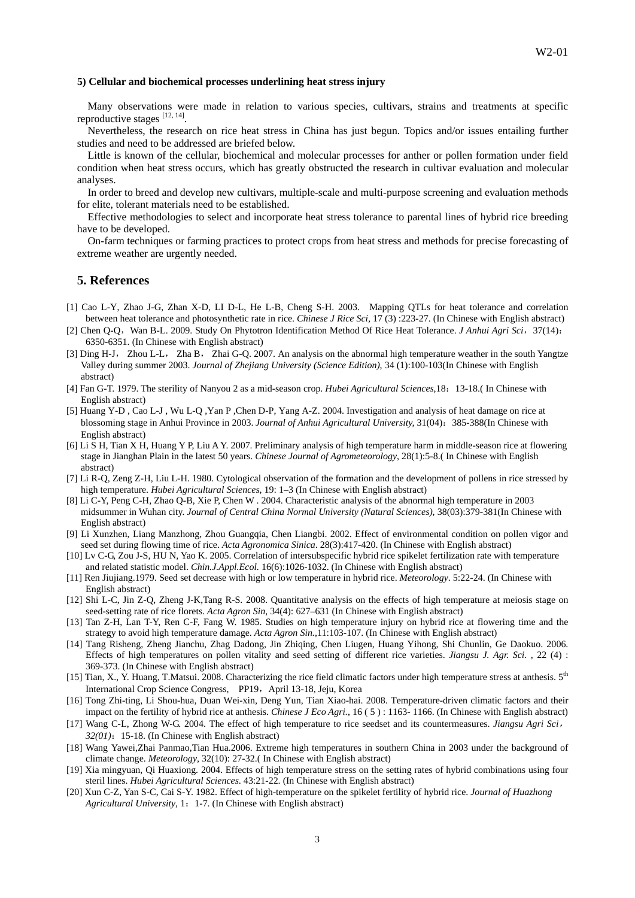# **5) Cellular and biochemical processes underlining heat stress injury**

Many observations were made in relation to various species, cultivars, strains and treatments at specific reproductive stages [12, 14].

Nevertheless, the research on rice heat stress in China has just begun. Topics and/or issues entailing further studies and need to be addressed are briefed below.

Little is known of the cellular, biochemical and molecular processes for anther or pollen formation under field condition when heat stress occurs, which has greatly obstructed the research in cultivar evaluation and molecular analyses.

In order to breed and develop new cultivars, multiple-scale and multi-purpose screening and evaluation methods for elite, tolerant materials need to be established.

Effective methodologies to select and incorporate heat stress tolerance to parental lines of hybrid rice breeding have to be developed.

On-farm techniques or farming practices to protect crops from heat stress and methods for precise forecasting of extreme weather are urgently needed.

## **5. References**

- [1] Cao L-Y, Zhao J-G, Zhan X-D, LI D-L, He L-B, Cheng S-H. 2003. Mapping QTLs for heat tolerance and correlation between heat tolerance and photosynthetic rate in rice. *Chinese J Rice Sci,* 17 (3) :223-27. (In Chinese with English abstract)
- [2] Chen Q-Q, Wan B-L. 2009. Study On Phytotron Identification Method Of Rice Heat Tolerance. *J Anhui Agri Sci*, 37(14): 6350-6351. (In Chinese with English abstract)
- [3] Ding H-J, Zhou L-L, Zha B, Zhai G-Q. 2007. An analysis on the abnormal high temperature weather in the south Yangtze Valley during summer 2003. *Journal of Zhejiang University (Science Edition)*, 34 (1):100-103(In Chinese with English abstract)
- [4] Fan G-T. 1979. The sterility of Nanyou 2 as a mid-season crop. *Hubei Agricultural Sciences*,18:13-18.( In Chinese with English abstract)
- [5] Huang Y-D , Cao L-J , Wu L-Q ,Yan P ,Chen D-P, Yang A-Z. 2004. Investigation and analysis of heat damage on rice at blossoming stage in Anhui Province in 2003. *Journal of Anhui Agricultural University,* 31(04):385-388(In Chinese with English abstract)
- [6] Li S H, Tian X H, Huang Y P, Liu A Y. 2007. Preliminary analysis of high temperature harm in middle-season rice at flowering stage in Jianghan Plain in the latest 50 years. *Chinese Journal of Agrometeorology*, 28(1):5-8.( In Chinese with English abstract)
- [7] Li R-Q, Zeng Z-H, Liu L-H. 1980. Cytological observation of the formation and the development of pollens in rice stressed by high temperature. *Hubei Agricultural Sciences*, 19: 1–3 (In Chinese with English abstract)
- [8] Li C-Y, Peng C-H, Zhao Q-B, Xie P, Chen W . 2004. Characteristic analysis of the abnormal high temperature in 2003 midsummer in Wuhan city. *Journal of Central China Normal University (Natural Sciences)*, 38(03):379-381(In Chinese with English abstract)
- [9] Li Xunzhen, Liang Manzhong, Zhou Guangqia, Chen Liangbi. 2002. Effect of environmental condition on pollen vigor and seed set during flowing time of rice. *Acta Agronomica Sinica*. 28(3):417-420. (In Chinese with English abstract)
- [10] Lv C-G, Zou J-S, HU N, Yao K. 2005. Correlation of intersubspecific hybrid rice spikelet fertilization rate with temperature and related statistic model. *Chin.J.Appl.Ecol.* 16(6):1026-1032. (In Chinese with English abstract)
- [11] Ren Jiujiang.1979. Seed set decrease with high or low temperature in hybrid rice. *Meteorology*. 5:22-24. (In Chinese with English abstract)
- [12] Shi L-C, Jin Z-Q, Zheng J-K,Tang R-S. 2008. Quantitative analysis on the effects of high temperature at meiosis stage on seed-setting rate of rice florets. *Acta Agron Sin*, 34(4): 627–631 (In Chinese with English abstract)
- [13] Tan Z-H, Lan T-Y, Ren C-F, Fang W. 1985. Studies on high temperature injury on hybrid rice at flowering time and the strategy to avoid high temperature damage. *Acta Agron Sin.,*11:103-107. (In Chinese with English abstract)
- [14] Tang Risheng, Zheng Jianchu, Zhag Dadong, Jin Zhiqing, Chen Liugen, Huang Yihong, Shi Chunlin, Ge Daokuo. 2006. Effects of high temperatures on pollen vitality and seed setting of different rice varieties. *Jiangsu J. Agr. Sci.* , 22 (4) : 369-373. (In Chinese with English abstract)
- [15] Tian, X., Y. Huang, T.Matsui. 2008. Characterizing the rice field climatic factors under high temperature stress at anthesis.  $5^{th}$ International Crop Science Congress, PP19, April 13-18, Jeju, Korea
- [16] Tong Zhi-ting, Li Shou-hua, Duan Wei-xin, Deng Yun, Tian Xiao-hai. 2008. Temperature-driven climatic factors and their impact on the fertility of hybrid rice at anthesis. *Chinese J Eco Agri.*, 16 ( 5 ) : 1163- 1166. (In Chinese with English abstract)
- [17] Wang C-L, Zhong W-G. 2004. The effect of high temperature to rice seedset and its countermeasures. *Jiangsu Agri Sci*, *32(01)*:15-18. (In Chinese with English abstract)
- [18] Wang Yawei,Zhai Panmao,Tian Hua.2006. Extreme high temperatures in southern China in 2003 under the background of climate change. *Meteorology*, 32(10): 27-32.( In Chinese with English abstract)
- [19] Xia mingyuan, Qi Huaxiong. 2004. Effects of high temperature stress on the setting rates of hybrid combinations using four steril lines. *Hubei Agricultural Sciences*. 43:21-22. (In Chinese with English abstract)
- [20] Xun C-Z, Yan S-C, Cai S-Y. 1982. Effect of high-temperature on the spikelet fertility of hybrid rice. *Journal of Huazhong Agricultural University*, 1:1-7. (In Chinese with English abstract)